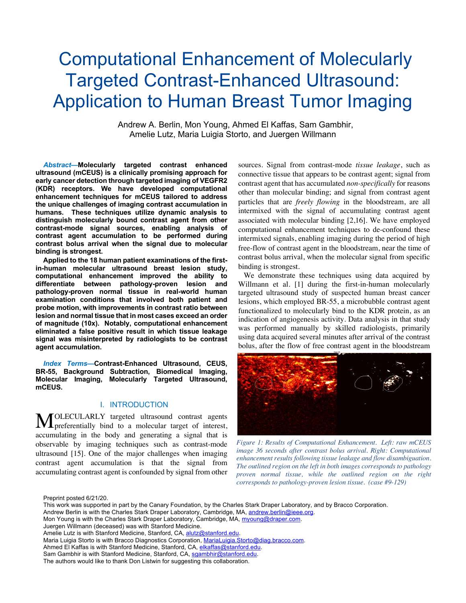# Computational Enhancement of Molecularly Targeted Contrast-Enhanced Ultrasound: Application to Human Breast Tumor Imaging

Andrew A. Berlin, Mon Young, Ahmed El Kaffas, Sam Gambhir, Amelie Lutz, Maria Luigia Storto, and Juergen Willmann

*Abstract***—Molecularly targeted contrast enhanced ultrasound (mCEUS) is a clinically promising approach for early cancer detection through targeted imaging of VEGFR2 (KDR) receptors. We have developed computational enhancement techniques for mCEUS tailored to address the unique challenges of imaging contrast accumulation in humans. These techniques utilize dynamic analysis to distinguish molecularly bound contrast agent from other contrast-mode signal sources, enabling analysis of contrast agent accumulation to be performed during contrast bolus arrival when the signal due to molecular binding is strongest.** 

**Applied to the 18 human patient examinations of the firstin-human molecular ultrasound breast lesion study, computational enhancement improved the ability to differentiate between pathology-proven lesion and pathology-proven normal tissue in real-world human examination conditions that involved both patient and probe motion, with improvements in contrast ratio between lesion and normal tissue that in most cases exceed an order of magnitude (10x). Notably, computational enhancement eliminated a false positive result in which tissue leakage signal was misinterpreted by radiologists to be contrast agent accumulation.**

*Index Terms***—Contrast-Enhanced Ultrasound, CEUS, BR-55, Background Subtraction, Biomedical Imaging, Molecular Imaging, Molecularly Targeted Ultrasound, mCEUS.** 

# I. INTRODUCTION

OLECULARLY targeted ultrasound contrast agents MOLECULARLY targeted ultrasound contrast agents preferentially bind to a molecular target of interest, accumulating in the body and generating a signal that is observable by imaging techniques such as contrast-mode ultrasound [15]. One of the major challenges when imaging contrast agent accumulation is that the signal from accumulating contrast agent is confounded by signal from other

sources. Signal from contrast-mode *tissue leakage*, such as connective tissue that appears to be contrast agent; signal from contrast agent that has accumulated *non-specifically* for reasons other than molecular binding; and signal from contrast agent particles that are *freely flowing* in the bloodstream, are all intermixed with the signal of accumulating contrast agent associated with molecular binding [2,16]. We have employed computational enhancement techniques to de-confound these intermixed signals, enabling imaging during the period of high free-flow of contrast agent in the bloodstream, near the time of contrast bolus arrival, when the molecular signal from specific binding is strongest.

We demonstrate these techniques using data acquired by Willmann et al. [1] during the first-in-human molecularly targeted ultrasound study of suspected human breast cancer lesions, which employed BR-55, a microbubble contrast agent functionalized to molecularly bind to the KDR protein, as an indication of angiogenesis activity. Data analysis in that study was performed manually by skilled radiologists, primarily using data acquired several minutes after arrival of the contrast bolus, after the flow of free contrast agent in the bloodstream



*Figure 1: Results of Computational Enhancement. Left: raw mCEUS image 36 seconds after contrast bolus arrival. Right: Computational enhancement results following tissue leakage and flow disambiguation. The outlined region on the left in both images corresponds to pathology proven normal tissue, while the outlined region on the right corresponds to pathology-proven lesion tissue. (case #9-129)* 

Preprint posted 6/21/20.

This work was supported in part by the Canary Foundation, by the Charles Stark Draper Laboratory, and by Bracco Corporation.

Andrew Berlin is with the Charles Stark Draper Laboratory, Cambridge, MA, andrew.berlin@ieee.org.

Mon Young is with the Charles Stark Draper Laboratory, Cambridge, MA, myoung@draper.com.

Juergen Willmann (deceased) was with Stanford Medicine.

Amelie Lutz is with Stanford Medicine, Stanford, CA, alutz@stanford.edu.

Maria Luigia Storto is with Bracco Diagnostics Corporation, MariaLuigia.Storto@diag.bracco.com.

Ahmed El Kaffas is with Stanford Medicine, Stanford, CA, elkaffas@stanford.edu.

Sam Gambhir is with Stanford Medicine, Stanford, CA, sgambhir@stanford.edu.

The authors would like to thank Don Listwin for suggesting this collaboration.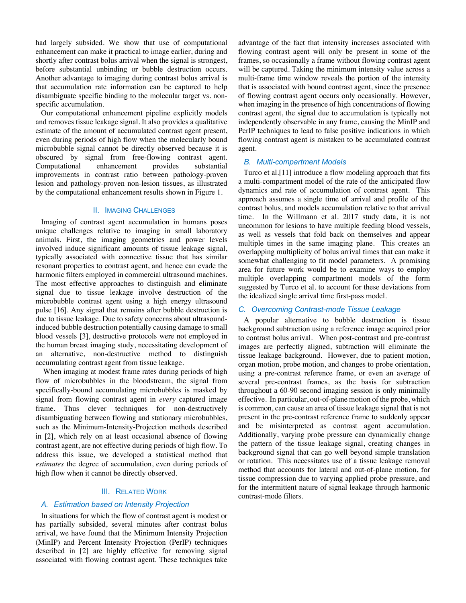had largely subsided. We show that use of computational enhancement can make it practical to image earlier, during and shortly after contrast bolus arrival when the signal is strongest, before substantial unbinding or bubble destruction occurs. Another advantage to imaging during contrast bolus arrival is that accumulation rate information can be captured to help disambiguate specific binding to the molecular target vs. nonspecific accumulation.

Our computational enhancement pipeline explicitly models and removes tissue leakage signal. It also provides a qualitative estimate of the amount of accumulated contrast agent present, even during periods of high flow when the molecularly bound microbubble signal cannot be directly observed because it is obscured by signal from free-flowing contrast agent. Computational enhancement provides substantial improvements in contrast ratio between pathology-proven lesion and pathology-proven non-lesion tissues, as illustrated by the computational enhancement results shown in Figure 1.

#### II. IMAGING CHALLENGES

Imaging of contrast agent accumulation in humans poses unique challenges relative to imaging in small laboratory animals. First, the imaging geometries and power levels involved induce significant amounts of tissue leakage signal, typically associated with connective tissue that has similar resonant properties to contrast agent, and hence can evade the harmonic filters employed in commercial ultrasound machines. The most effective approaches to distinguish and eliminate signal due to tissue leakage involve destruction of the microbubble contrast agent using a high energy ultrasound pulse [16]. Any signal that remains after bubble destruction is due to tissue leakage. Due to safety concerns about ultrasoundinduced bubble destruction potentially causing damage to small blood vessels [3], destructive protocols were not employed in the human breast imaging study, necessitating development of an alternative, non-destructive method to distinguish accumulating contrast agent from tissue leakage.

When imaging at modest frame rates during periods of high flow of microbubbles in the bloodstream, the signal from specifically-bound accumulating microbubbles is masked by signal from flowing contrast agent in *every* captured image frame. Thus clever techniques for non-destructively disambiguating between flowing and stationary microbubbles, such as the Minimum-Intensity-Projection methods described in [2], which rely on at least occasional absence of flowing contrast agent, are not effective during periods of high flow. To address this issue, we developed a statistical method that *estimates* the degree of accumulation, even during periods of high flow when it cannot be directly observed.

#### III. RELATED WORK

# *A. Estimation based on Intensity Projection*

In situations for which the flow of contrast agent is modest or has partially subsided, several minutes after contrast bolus arrival, we have found that the Minimum Intensity Projection (MinIP) and Percent Intensity Projection (PerIP) techniques described in [2] are highly effective for removing signal associated with flowing contrast agent. These techniques take advantage of the fact that intensity increases associated with flowing contrast agent will only be present in some of the frames, so occasionally a frame without flowing contrast agent will be captured. Taking the minimum intensity value across a multi-frame time window reveals the portion of the intensity that is associated with bound contrast agent, since the presence of flowing contrast agent occurs only occasionally. However, when imaging in the presence of high concentrations of flowing contrast agent, the signal due to accumulation is typically not independently observable in any frame, causing the MinIP and PerIP techniques to lead to false positive indications in which flowing contrast agent is mistaken to be accumulated contrast agent.

#### *B. Multi-compartment Models*

Turco et al.[11] introduce a flow modeling approach that fits a multi-compartment model of the rate of the anticipated flow dynamics and rate of accumulation of contrast agent. This approach assumes a single time of arrival and profile of the contrast bolus, and models accumulation relative to that arrival time. In the Willmann et al. 2017 study data, it is not uncommon for lesions to have multiple feeding blood vessels, as well as vessels that fold back on themselves and appear multiple times in the same imaging plane. This creates an overlapping multiplicity of bolus arrival times that can make it somewhat challenging to fit model parameters. A promising area for future work would be to examine ways to employ multiple overlapping compartment models of the form suggested by Turco et al. to account for these deviations from the idealized single arrival time first-pass model.

### *C. Overcoming Contrast-mode Tissue Leakage*

A popular alternative to bubble destruction is tissue background subtraction using a reference image acquired prior to contrast bolus arrival. When post-contrast and pre-contrast images are perfectly aligned, subtraction will eliminate the tissue leakage background. However, due to patient motion, organ motion, probe motion, and changes to probe orientation, using a pre-contrast reference frame, or even an average of several pre-contrast frames, as the basis for subtraction throughout a 60-90 second imaging session is only minimally effective. In particular, out-of-plane motion of the probe, which is common, can cause an area of tissue leakage signal that is not present in the pre-contrast reference frame to suddenly appear and be misinterpreted as contrast agent accumulation. Additionally, varying probe pressure can dynamically change the pattern of the tissue leakage signal, creating changes in background signal that can go well beyond simple translation or rotation. This necessitates use of a tissue leakage removal method that accounts for lateral and out-of-plane motion, for tissue compression due to varying applied probe pressure, and for the intermittent nature of signal leakage through harmonic contrast-mode filters.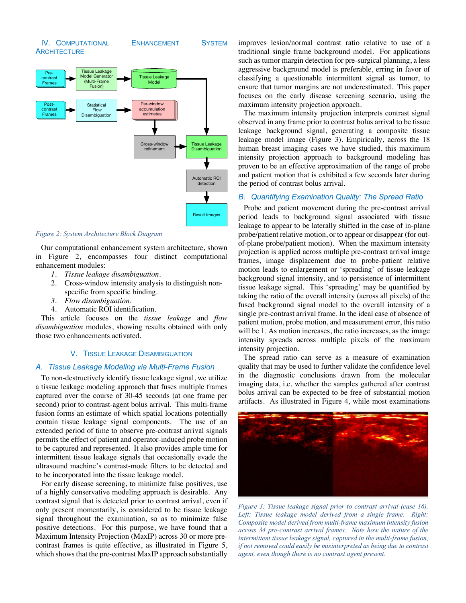



#### *Figure 2: System Architecture Block Diagram*

Our computational enhancement system architecture, shown in Figure 2, encompasses four distinct computational enhancement modules:

- *1. Tissue leakage disambiguation.*
- 2. Cross-window intensity analysis to distinguish nonspecific from specific binding.
- *3. Flow disambiguation.*
- 4. Automatic ROI identification.

This article focuses on the *tissue leakage* and *flow disambiguation* modules, showing results obtained with only those two enhancements activated.

#### V. TISSUE LEAKAGE DISAMBIGUATION

#### *A. Tissue Leakage Modeling via Multi-Frame Fusion*

To non-destructively identify tissue leakage signal, we utilize a tissue leakage modeling approach that fuses multiple frames captured over the course of 30-45 seconds (at one frame per second) prior to contrast-agent bolus arrival. This multi-frame fusion forms an estimate of which spatial locations potentially contain tissue leakage signal components. The use of an extended period of time to observe pre-contrast arrival signals permits the effect of patient and operator-induced probe motion to be captured and represented. It also provides ample time for intermittent tissue leakage signals that occasionally evade the ultrasound machine's contrast-mode filters to be detected and to be incorporated into the tissue leakage model.

For early disease screening, to minimize false positives, use of a highly conservative modeling approach is desirable. Any contrast signal that is detected prior to contrast arrival, even if only present momentarily, is considered to be tissue leakage signal throughout the examination, so as to minimize false positive detections. For this purpose, we have found that a Maximum Intensity Projection (MaxIP) across 30 or more precontrast frames is quite effective, as illustrated in Figure 5, which shows that the pre-contrast MaxIP approach substantially improves lesion/normal contrast ratio relative to use of a traditional single frame background model. For applications such as tumor margin detection for pre-surgical planning, a less aggressive background model is preferable, erring in favor of classifying a questionable intermittent signal as tumor, to ensure that tumor margins are not underestimated. This paper focuses on the early disease screening scenario, using the maximum intensity projection approach.

The maximum intensity projection interprets contrast signal observed in any frame prior to contrast bolus arrival to be tissue leakage background signal, generating a composite tissue leakage model image (Figure 3). Empirically, across the 18 human breast imaging cases we have studied, this maximum intensity projection approach to background modeling has proven to be an effective approximation of the range of probe and patient motion that is exhibited a few seconds later during the period of contrast bolus arrival.

#### *B. Quantifying Examination Quality: The Spread Ratio*

Probe and patient movement during the pre-contrast arrival period leads to background signal associated with tissue leakage to appear to be laterally shifted in the case of in-plane probe/patient relative motion, or to appear or disappear (for outof-plane probe/patient motion). When the maximum intensity projection is applied across multiple pre-contrast arrival image frames, image displacement due to probe-patient relative motion leads to enlargement or 'spreading' of tissue leakage background signal intensity, and to persistence of intermittent tissue leakage signal. This 'spreading' may be quantified by taking the ratio of the overall intensity (across all pixels) of the fused background signal model to the overall intensity of a single pre-contrast arrival frame. In the ideal case of absence of patient motion, probe motion, and measurement error, this ratio will be 1. As motion increases, the ratio increases, as the image intensity spreads across multiple pixels of the maximum intensity projection.

The spread ratio can serve as a measure of examination quality that may be used to further validate the confidence level in the diagnostic conclusions drawn from the molecular imaging data, i.e. whether the samples gathered after contrast bolus arrival can be expected to be free of substantial motion artifacts. As illustrated in Figure 4, while most examinations



*Figure 3: Tissue leakage signal prior to contrast arrival (case 16). Left: Tissue leakage model derived from a single frame. Right: Composite model derived from multi-frame maximum intensity fusion across 34 pre-contrast arrival frames. Note how the nature of the intermittent tissue leakage signal, captured in the multi-frame fusion, if not removed could easily be misinterpreted as being due to contrast agent, even though there is no contrast agent present.*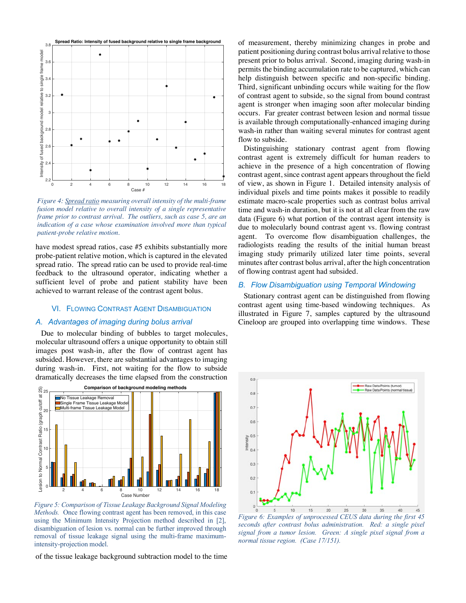

*Figure 4: Spread ratio measuring overall intensity of the multi-frame*  fusion model relative to overall intensity of a single representative *frame prior to contrast arrival. The outliers, such as case 5, are an*  indication of a case whose examination involved more than typical *patient-probe relative motion.* 

have modest spread ratios, case #5 exhibits substantially more probe-patient relative motion, which is captured in the elevated spread ratio. The spread ratio can be used to provide real-time feedback to the ultrasound operator, indicating whether a sufficient level of probe and patient stability have been achieved to warrant release of the contrast agent bolus.

# VI. FLOWING CONTRAST AGENT DISAMBIGUATION

#### *A. Advantages of imaging during bolus arrival*

Due to molecular binding of bubbles to target molecules, molecular ultrasound offers a unique opportunity to obtain still images post wash-in, after the flow of contrast agent has subsided. However, there are substantial advantages to imaging during wash-in. First, not waiting for the flow to subside dramatically decreases the time elapsed from the construction



*Figure 5: Comparison of Tissue Leakage Background Signal Modeling Methods.* Once flowing contrast agent has been removed, in this case using the Minimum Intensity Projection method described in [2], disambiguation of lesion vs. normal can be further improved through removal of tissue leakage signal using the multi-frame maximumintensity-projection model.

of the tissue leakage background subtraction model to the time

of measurement, thereby minimizing changes in probe and patient positioning during contrast bolus arrival relative to those present prior to bolus arrival. Second, imaging during wash-in permits the binding accumulation rate to be captured, which can help distinguish between specific and non-specific binding. Third, significant unbinding occurs while waiting for the flow of contrast agent to subside, so the signal from bound contrast agent is stronger when imaging soon after molecular binding occurs. Far greater contrast between lesion and normal tissue is available through computationally-enhanced imaging during wash-in rather than waiting several minutes for contrast agent flow to subside.

Distinguishing stationary contrast agent from flowing contrast agent is extremely difficult for human readers to achieve in the presence of a high concentration of flowing contrast agent, since contrast agent appears throughout the field of view, as shown in Figure 1. Detailed intensity analysis of individual pixels and time points makes it possible to readily estimate macro-scale properties such as contrast bolus arrival time and wash-in duration, but it is not at all clear from the raw data (Figure 6) what portion of the contrast agent intensity is due to molecularly bound contrast agent vs. flowing contrast agent. To overcome flow disambiguation challenges, the radiologists reading the results of the initial human breast imaging study primarily utilized later time points, several minutes after contrast bolus arrival, after the high concentration of flowing contrast agent had subsided.

# *B. Flow Disambiguation using Temporal Windowing*

Stationary contrast agent can be distinguished from flowing contrast agent using time-based windowing techniques. As illustrated in Figure 7, samples captured by the ultrasound Cineloop are grouped into overlapping time windows. These



*Figure 6: Examples of unprocessed CEUS data during the first 45 seconds after contrast bolus administration. Red: a single pixel signal from a tumor lesion. Green: A single pixel signal from a normal tissue region. (Case 17/151).*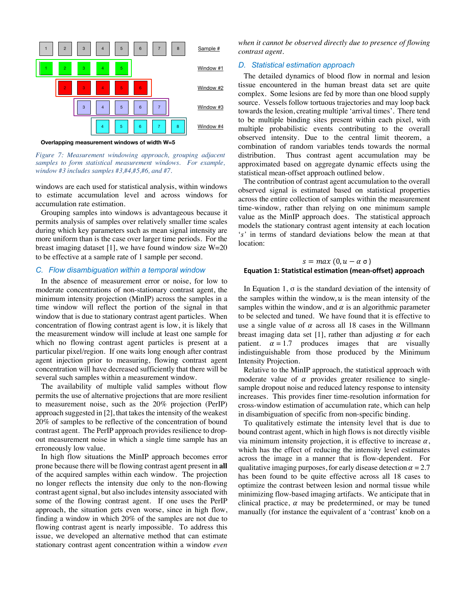

**Overlapping measurement windows of width W=5**

*Figure 7: Measurement windowing approach, grouping adjacent samples to form statistical measurement windows. For example, window #3 includes samples #3,#4,#5,#6, and #7.* 

windows are each used for statistical analysis, within windows to estimate accumulation level and across windows for accumulation rate estimation.

Grouping samples into windows is advantageous because it permits analysis of samples over relatively smaller time scales during which key parameters such as mean signal intensity are more uniform than is the case over larger time periods. For the breast imaging dataset [1], we have found window size  $W=20$ to be effective at a sample rate of 1 sample per second.

#### *C. Flow disambiguation within a temporal window*

In the absence of measurement error or noise, for low to moderate concentrations of non-stationary contrast agent, the minimum intensity projection (MinIP) across the samples in a time window will reflect the portion of the signal in that window that is due to stationary contrast agent particles. When concentration of flowing contrast agent is low, it is likely that the measurement window will include at least one sample for which no flowing contrast agent particles is present at a particular pixel/region. If one waits long enough after contrast agent injection prior to measuring, flowing contrast agent concentration will have decreased sufficiently that there will be several such samples within a measurement window.

The availability of multiple valid samples without flow permits the use of alternative projections that are more resilient to measurement noise, such as the 20% projection (PerIP) approach suggested in [2], that takes the intensity of the weakest 20% of samples to be reflective of the concentration of bound contrast agent. The PerIP approach provides resilience to dropout measurement noise in which a single time sample has an erroneously low value.

In high flow situations the MinIP approach becomes error prone because there will be flowing contrast agent present in **all** of the acquired samples within each window. The projection no longer reflects the intensity due only to the non-flowing contrast agent signal, but also includes intensity associated with some of the flowing contrast agent. If one uses the PerIP approach, the situation gets even worse, since in high flow, finding a window in which 20% of the samples are not due to flowing contrast agent is nearly impossible. To address this issue, we developed an alternative method that can estimate stationary contrast agent concentration within a window *even*  *when it cannot be observed directly due to presence of flowing contrast agent*.

## *D. Statistical estimation approach*

The detailed dynamics of blood flow in normal and lesion tissue encountered in the human breast data set are quite complex. Some lesions are fed by more than one blood supply source. Vessels follow tortuous trajectories and may loop back towards the lesion, creating multiple 'arrival times'. There tend to be multiple binding sites present within each pixel, with multiple probabilistic events contributing to the overall observed intensity. Due to the central limit theorem, a combination of random variables tends towards the normal distribution. Thus contrast agent accumulation may be approximated based on aggregate dynamic effects using the statistical mean-offset approach outlined below.

The contribution of contrast agent accumulation to the overall observed signal is estimated based on statistical properties across the entire collection of samples within the measurement time-window, rather than relying on one minimum sample value as the MinIP approach does. The statistical approach models the stationary contrast agent intensity at each location '*s'* in terms of standard deviations below the mean at that location:

# $s = max (0, u - \alpha \sigma)$ **Equation 1: Statistical estimation (mean-offset) approach**

In Equation 1,  $\sigma$  is the standard deviation of the intensity of the samples within the window,  $u$  is the mean intensity of the samples within the window, and  $\alpha$  is an algorithmic parameter to be selected and tuned. We have found that it is effective to use a single value of  $\alpha$  across all 18 cases in the Willmann breast imaging data set [1], rather than adjusting  $\alpha$  for each patient.  $\alpha = 1.7$  produces images that are visually indistinguishable from those produced by the Minimum Intensity Projection.

Relative to the MinIP approach, the statistical approach with moderate value of  $\alpha$  provides greater resilience to singlesample dropout noise and reduced latency response to intensity increases. This provides finer time-resolution information for cross-window estimation of accumulation rate, which can help in disambiguation of specific from non-specific binding.

To qualitatively estimate the intensity level that is due to bound contrast agent, which in high flows is not directly visible via minimum intensity projection, it is effective to increase  $\alpha$ , which has the effect of reducing the intensity level estimates across the image in a manner that is flow-dependent. For qualitative imaging purposes, for early disease detection  $\alpha = 2.7$ has been found to be quite effective across all 18 cases to optimize the contrast between lesion and normal tissue while minimizing flow-based imaging artifacts. We anticipate that in clinical practice,  $\alpha$  may be predetermined, or may be tuned manually (for instance the equivalent of a 'contrast' knob on a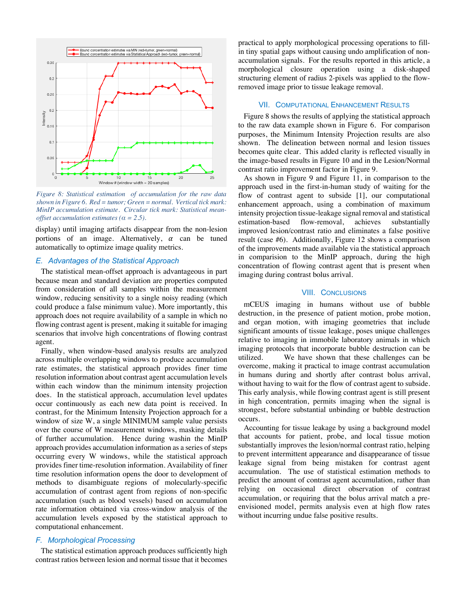

*Figure 8: Statistical estimation of accumulation for the raw data shown in Figure 6. Red = tumor; Green = normal. Vertical tick mark: MinIP accumulation estimate. Circular tick mark: Statistical meanoffset accumulation estimates (* $\alpha$  *= 2.5).* 

display) until imaging artifacts disappear from the non-lesion portions of an image. Alternatively,  $\alpha$  can be tuned automatically to optimize image quality metrics.

#### *E. Advantages of the Statistical Approach*

The statistical mean-offset approach is advantageous in part because mean and standard deviation are properties computed from consideration of all samples within the measurement window, reducing sensitivity to a single noisy reading (which could produce a false minimum value). More importantly, this approach does not require availability of a sample in which no flowing contrast agent is present, making it suitable for imaging scenarios that involve high concentrations of flowing contrast agent.

Finally, when window-based analysis results are analyzed across multiple overlapping windows to produce accumulation rate estimates, the statistical approach provides finer time resolution information about contrast agent accumulation levels within each window than the minimum intensity projection does. In the statistical approach, accumulation level updates occur continuously as each new data point is received. In contrast, for the Minimum Intensity Projection approach for a window of size W, a single MINIMUM sample value persists over the course of W measurement windows, masking details of further accumulation. Hence during washin the MinIP approach provides accumulation information as a series of steps occurring every W windows, while the statistical approach provides finer time-resolution information. Availability of finer time resolution information opens the door to development of methods to disambiguate regions of molecularly-specific accumulation of contrast agent from regions of non-specific accumulation (such as blood vessels) based on accumulation rate information obtained via cross-window analysis of the accumulation levels exposed by the statistical approach to computational enhancement.

#### *F. Morphological Processing*

The statistical estimation approach produces sufficiently high contrast ratios between lesion and normal tissue that it becomes

practical to apply morphological processing operations to fillin tiny spatial gaps without causing undo amplification of nonaccumulation signals. For the results reported in this article, a morphological closure operation using a disk-shaped structuring element of radius 2-pixels was applied to the flowremoved image prior to tissue leakage removal.

## VII. COMPUTATIONAL ENHANCEMENT RESULTS

Figure 8 shows the results of applying the statistical approach to the raw data example shown in Figure 6. For comparison purposes, the Minimum Intensity Projection results are also shown. The delineation between normal and lesion tissues becomes quite clear. This added clarity is reflected visually in the image-based results in Figure 10 and in the Lesion/Normal contrast ratio improvement factor in Figure 9.

As shown in Figure 9 and Figure 11, in comparison to the approach used in the first-in-human study of waiting for the flow of contrast agent to subside [1], our computational enhancement approach, using a combination of maximum intensity projection tissue-leakage signal removal and statistical estimation-based flow-removal, achieves substantially improved lesion/contrast ratio and eliminates a false positive result (case #6). Additionally, Figure 12 shows a comparison of the improvements made available via the statistical approach in comparision to the MinIP approach, during the high concentration of flowing contrast agent that is present when imaging during contrast bolus arrival.

### VIII. CONCLUSIONS

mCEUS imaging in humans without use of bubble destruction, in the presence of patient motion, probe motion, and organ motion, with imaging geometries that include significant amounts of tissue leakage, poses unique challenges relative to imaging in immobile laboratory animals in which imaging protocols that incorporate bubble destruction can be utilized. We have shown that these challenges can be overcome, making it practical to image contrast accumulation in humans during and shortly after contrast bolus arrival, without having to wait for the flow of contrast agent to subside. This early analysis, while flowing contrast agent is still present in high concentration, permits imaging when the signal is strongest, before substantial unbinding or bubble destruction occurs.

Accounting for tissue leakage by using a background model that accounts for patient, probe, and local tissue motion substantially improves the lesion/normal contrast ratio, helping to prevent intermittent appearance and disappearance of tissue leakage signal from being mistaken for contrast agent accumulation. The use of statistical estimation methods to predict the amount of contrast agent accumulation, rather than relying on occasional direct observation of contrast accumulation, or requiring that the bolus arrival match a preenvisioned model, permits analysis even at high flow rates without incurring undue false positive results.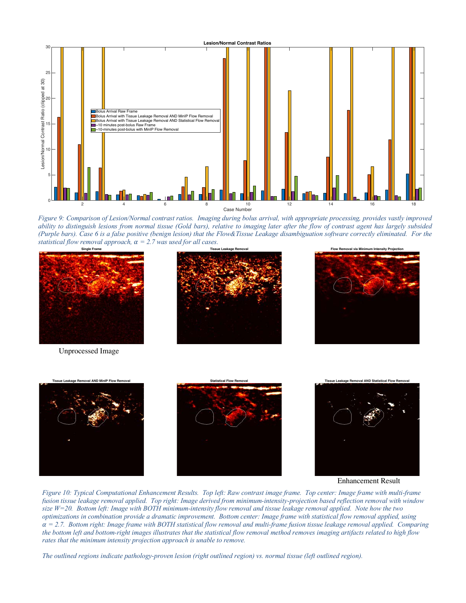![](_page_6_Figure_0.jpeg)

*Figure 9: Comparison of Lesion/Normal contrast ratios. Imaging during bolus arrival, with appropriate processing, provides vastly improved ability to distinguish lesions from normal tissue (Gold bars), relative to imaging later after the flow of contrast agent has largely subsided (Purple bars). Case 6 is a false positive (benign lesion) that the Flow&Tissue Leakage disambiguation software correctly eliminated. For the statistical flow removal approach,*  $\alpha = 2.7$  *was used for all cases.* 

![](_page_6_Picture_2.jpeg)

Unprocessed Image

![](_page_6_Picture_4.jpeg)

![](_page_6_Picture_5.jpeg)

![](_page_6_Figure_6.jpeg)

Enhancement Result

*Figure 10: Typical Computational Enhancement Results. Top left: Raw contrast image frame. Top center: Image frame with multi-frame fusion tissue leakage removal applied. Top right: Image derived from minimum-intensity-projection based reflection removal with window size W=20. Bottom left: Image with BOTH minimum-intensity flow removal and tissue leakage removal applied. Note how the two optimizations in combination provide a dramatic improvement. Bottom center: Image frame with statistical flow removal applied, using*   $\alpha = 2.7$ . Bottom right: Image frame with BOTH statistical flow removal and multi-frame fusion tissue leakage removal applied. Comparing *the bottom left and bottom-right images illustrates that the statistical flow removal method removes imaging artifacts related to high flow rates that the minimum intensity projection approach is unable to remove.* 

*The outlined regions indicate pathology-proven lesion (right outlined region) vs. normal tissue (left outlined region).*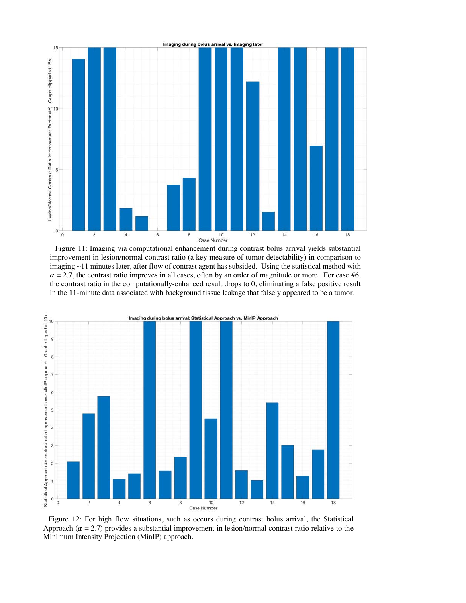![](_page_7_Figure_0.jpeg)

Figure 11: Imaging via computational enhancement during contrast bolus arrival yields substantial improvement in lesion/normal contrast ratio (a key measure of tumor detectability) in comparison to imaging ~11 minutes later, after flow of contrast agent has subsided. Using the statistical method with  $\alpha = 2.7$ , the contrast ratio improves in all cases, often by an order of magnitude or more. For case #6, the contrast ratio in the computationally-enhanced result drops to 0, eliminating a false positive result in the 11-minute data associated with background tissue leakage that falsely appeared to be a tumor.

![](_page_7_Figure_2.jpeg)

Figure 12: For high flow situations, such as occurs during contrast bolus arrival, the Statistical Approach ( $\alpha = 2.7$ ) provides a substantial improvement in lesion/normal contrast ratio relative to the Minimum Intensity Projection (MinIP) approach.